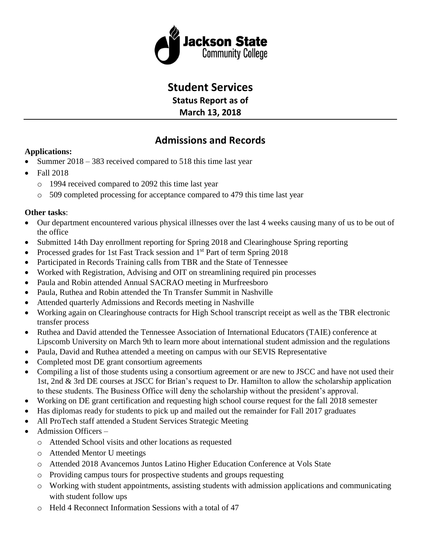

# **Student Services**

**Status Report as of March 13, 2018**

# **Admissions and Records**

## **Applications:**

- Summer  $2018 383$  received compared to 518 this time last year
- $\bullet$  Fall 2018
	- o 1994 received compared to 2092 this time last year
	- o 509 completed processing for acceptance compared to 479 this time last year

## **Other tasks**:

- Our department encountered various physical illnesses over the last 4 weeks causing many of us to be out of the office
- Submitted 14th Day enrollment reporting for Spring 2018 and Clearinghouse Spring reporting
- Processed grades for 1st Fast Track session and 1<sup>st</sup> Part of term Spring 2018
- Participated in Records Training calls from TBR and the State of Tennessee
- Worked with Registration, Advising and OIT on streamlining required pin processes
- Paula and Robin attended Annual SACRAO meeting in Murfreesboro
- Paula, Ruthea and Robin attended the Tn Transfer Summit in Nashville
- Attended quarterly Admissions and Records meeting in Nashville
- Working again on Clearinghouse contracts for High School transcript receipt as well as the TBR electronic transfer process
- Ruthea and David attended the Tennessee Association of International Educators (TAIE) conference at Lipscomb University on March 9th to learn more about international student admission and the regulations
- Paula, David and Ruthea attended a meeting on campus with our SEVIS Representative
- Completed most DE grant consortium agreements
- Compiling a list of those students using a consortium agreement or are new to JSCC and have not used their 1st, 2nd & 3rd DE courses at JSCC for Brian's request to Dr. Hamilton to allow the scholarship application to these students. The Business Office will deny the scholarship without the president's approval.
- Working on DE grant certification and requesting high school course request for the fall 2018 semester
- Has diplomas ready for students to pick up and mailed out the remainder for Fall 2017 graduates
- All ProTech staff attended a Student Services Strategic Meeting
- Admission Officers
	- o Attended School visits and other locations as requested
	- o Attended Mentor U meetings
	- o Attended 2018 Avancemos Juntos Latino Higher Education Conference at Vols State
	- o Providing campus tours for prospective students and groups requesting
	- o Working with student appointments, assisting students with admission applications and communicating with student follow ups
	- o Held 4 Reconnect Information Sessions with a total of 47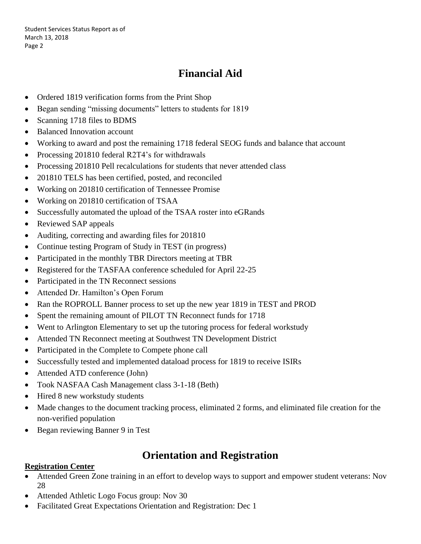# **Financial Aid**

- Ordered 1819 verification forms from the Print Shop
- Began sending "missing documents" letters to students for 1819
- Scanning 1718 files to BDMS
- Balanced Innovation account
- Working to award and post the remaining 1718 federal SEOG funds and balance that account
- Processing 201810 federal R2T4's for withdrawals
- Processing 201810 Pell recalculations for students that never attended class
- 201810 TELS has been certified, posted, and reconciled
- Working on 201810 certification of Tennessee Promise
- Working on 201810 certification of TSAA
- Successfully automated the upload of the TSAA roster into eGRands
- Reviewed SAP appeals
- Auditing, correcting and awarding files for 201810
- Continue testing Program of Study in TEST (in progress)
- Participated in the monthly TBR Directors meeting at TBR
- Registered for the TASFAA conference scheduled for April 22-25
- Participated in the TN Reconnect sessions
- Attended Dr. Hamilton's Open Forum
- Ran the ROPROLL Banner process to set up the new year 1819 in TEST and PROD
- Spent the remaining amount of PILOT TN Reconnect funds for 1718
- Went to Arlington Elementary to set up the tutoring process for federal workstudy
- Attended TN Reconnect meeting at Southwest TN Development District
- Participated in the Complete to Compete phone call
- Successfully tested and implemented dataload process for 1819 to receive ISIRs
- Attended ATD conference (John)
- Took NASFAA Cash Management class 3-1-18 (Beth)
- Hired 8 new workstudy students
- Made changes to the document tracking process, eliminated 2 forms, and eliminated file creation for the non-verified population
- Began reviewing Banner 9 in Test

## **Orientation and Registration**

### **Registration Center**

- Attended Green Zone training in an effort to develop ways to support and empower student veterans: Nov 28
- Attended Athletic Logo Focus group: Nov 30
- Facilitated Great Expectations Orientation and Registration: Dec 1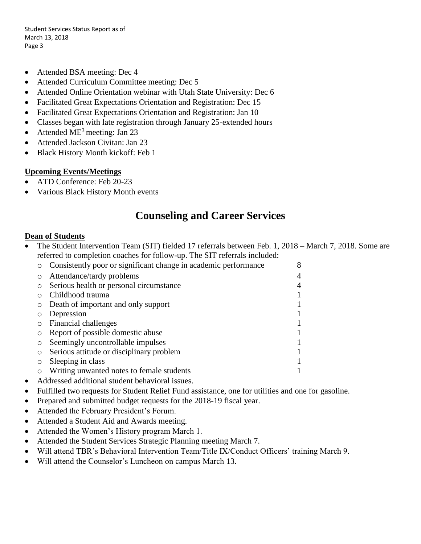- Attended BSA meeting: Dec 4
- Attended Curriculum Committee meeting: Dec 5
- Attended Online Orientation webinar with Utah State University: Dec 6
- Facilitated Great Expectations Orientation and Registration: Dec 15
- Facilitated Great Expectations Orientation and Registration: Jan 10
- Classes began with late registration through January 25-extended hours
- Attended  $ME<sup>3</sup>$  meeting: Jan 23
- Attended Jackson Civitan: Jan 23
- Black History Month kickoff: Feb 1

### **Upcoming Events/Meetings**

- ATD Conference: Feb 20-23
- Various Black History Month events

## **Counseling and Career Services**

### **Dean of Students**

• The Student Intervention Team (SIT) fielded 17 referrals between Feb. 1, 2018 – March 7, 2018. Some are referred to completion coaches for follow-up. The SIT referrals included:

|         | Consistently poor or significant change in academic performance | 8 |
|---------|-----------------------------------------------------------------|---|
| $\circ$ | Attendance/tardy problems                                       | 4 |
| $\circ$ | Serious health or personal circumstance                         | 4 |
|         | Childhood trauma                                                |   |
|         | Death of important and only support                             |   |
|         | Depression                                                      |   |
|         | Financial challenges                                            |   |
|         | Report of possible domestic abuse                               |   |
| $\circ$ | Seemingly uncontrollable impulses                               |   |
| $\circ$ | Serious attitude or disciplinary problem                        |   |
|         | Sleeping in class                                               |   |
|         | Writing unwanted notes to female students                       |   |

- Addressed additional student behavioral issues.
- Fulfilled two requests for Student Relief Fund assistance, one for utilities and one for gasoline.
- Prepared and submitted budget requests for the 2018-19 fiscal year.
- Attended the February President's Forum.
- Attended a Student Aid and Awards meeting.
- Attended the Women's History program March 1.
- Attended the Student Services Strategic Planning meeting March 7.
- Will attend TBR's Behavioral Intervention Team/Title IX/Conduct Officers' training March 9.
- Will attend the Counselor's Luncheon on campus March 13.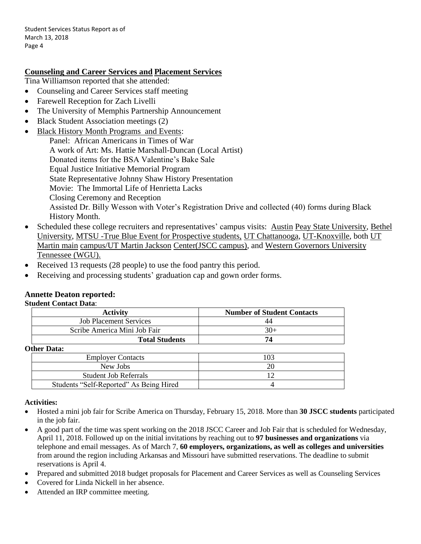### **Counseling and Career Services and Placement Services**

Tina Williamson reported that she attended:

- Counseling and Career Services staff meeting
- Farewell Reception for Zach Livelli
- The University of Memphis Partnership Announcement
- Black Student Association meetings (2)
- Black History Month Programs and Events: Panel: African Americans in Times of War A work of Art: Ms. Hattie Marshall-Duncan (Local Artist) Donated items for the BSA Valentine's Bake Sale Equal Justice Initiative Memorial Program State Representative Johnny Shaw History Presentation Movie: The Immortal Life of Henrietta Lacks Closing Ceremony and Reception Assisted Dr. Billy Wesson with Voter's Registration Drive and collected (40) forms during Black History Month.
- Scheduled these college recruiters and representatives' campus visits: Austin Peay State University, Bethel University, MTSU -True Blue Event for Prospective students, UT Chattanooga, UT-Knoxville, both UT Martin main campus/UT Martin Jackson Center(JSCC campus), and Western Governors University Tennessee (WGU).
- Received 13 requests (28 people) to use the food pantry this period.
- Receiving and processing students' graduation cap and gown order forms.

#### **Annette Deaton reported: Student Contact Data**:

| <b>Activity</b>               | <b>Number of Student Contacts</b> |
|-------------------------------|-----------------------------------|
| <b>Job Placement Services</b> |                                   |
| Scribe America Mini Job Fair  | $30+$                             |
| <b>Total Students</b>         |                                   |

### **Other Data:**

### **Activities:**

- Hosted a mini job fair for Scribe America on Thursday, February 15, 2018. More than **30 JSCC students** participated in the job fair.
- A good part of the time was spent working on the 2018 JSCC Career and Job Fair that is scheduled for Wednesday, April 11, 2018. Followed up on the initial invitations by reaching out to **97 businesses and organizations** via telephone and email messages. As of March 7, **60 employers, organizations, as well as colleges and universities**  from around the region including Arkansas and Missouri have submitted reservations. The deadline to submit reservations is April 4.
- Prepared and submitted 2018 budget proposals for Placement and Career Services as well as Counseling Services
- Covered for Linda Nickell in her absence.
- Attended an IRP committee meeting.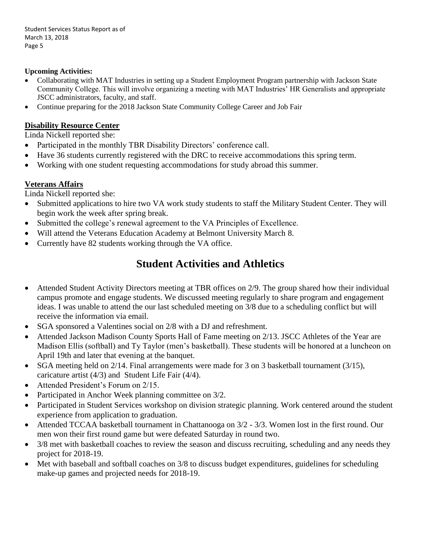### **Upcoming Activities:**

- Collaborating with MAT Industries in setting up a Student Employment Program partnership with Jackson State Community College. This will involve organizing a meeting with MAT Industries' HR Generalists and appropriate JSCC administrators, faculty, and staff.
- Continue preparing for the 2018 Jackson State Community College Career and Job Fair

### **Disability Resource Center**

Linda Nickell reported she:

- Participated in the monthly TBR Disability Directors' conference call.
- Have 36 students currently registered with the DRC to receive accommodations this spring term.
- Working with one student requesting accommodations for study abroad this summer.

## **Veterans Affairs**

Linda Nickell reported she:

- Submitted applications to hire two VA work study students to staff the Military Student Center. They will begin work the week after spring break.
- Submitted the college's renewal agreement to the VA Principles of Excellence.
- Will attend the Veterans Education Academy at Belmont University March 8.
- Currently have 82 students working through the VA office.

## **Student Activities and Athletics**

- Attended Student Activity Directors meeting at TBR offices on 2/9. The group shared how their individual campus promote and engage students. We discussed meeting regularly to share program and engagement ideas. I was unable to attend the our last scheduled meeting on 3/8 due to a scheduling conflict but will receive the information via email.
- SGA sponsored a Valentines social on 2/8 with a DJ and refreshment.
- Attended Jackson Madison County Sports Hall of Fame meeting on 2/13. JSCC Athletes of the Year are Madison Ellis (softball) and Ty Taylor (men's basketball). These students will be honored at a luncheon on April 19th and later that evening at the banquet.
- SGA meeting held on 2/14. Final arrangements were made for 3 on 3 basketball tournament (3/15), caricature artist (4/3) and Student Life Fair (4/4).
- Attended President's Forum on 2/15.
- Participated in Anchor Week planning committee on  $3/2$ .
- Participated in Student Services workshop on division strategic planning. Work centered around the student experience from application to graduation.
- Attended TCCAA basketball tournament in Chattanooga on  $3/2$   $3/3$ . Women lost in the first round. Our men won their first round game but were defeated Saturday in round two.
- 3/8 met with basketball coaches to review the season and discuss recruiting, scheduling and any needs they project for 2018-19.
- Met with baseball and softball coaches on 3/8 to discuss budget expenditures, guidelines for scheduling make-up games and projected needs for 2018-19.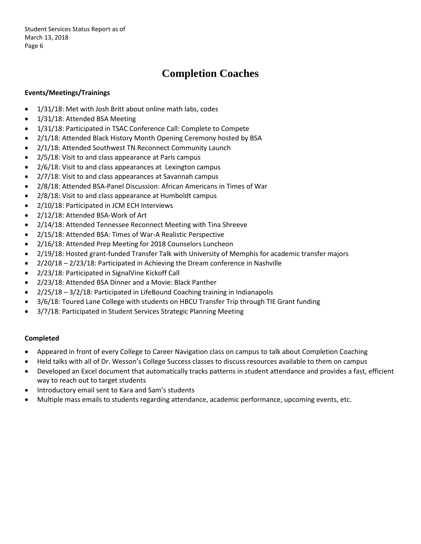# **Completion Coaches**

### **Events/Meetings/Trainings**

- 1/31/18: Met with Josh Britt about online math labs, codes
- 1/31/18: Attended BSA Meeting
- 1/31/18: Participated in TSAC Conference Call: Complete to Compete
- 2/1/18: Attended Black History Month Opening Ceremony hosted by BSA
- 2/1/18: Attended Southwest TN Reconnect Community Launch
- 2/5/18: Visit to and class appearance at Paris campus
- 2/6/18: Visit to and class appearances at Lexington campus
- 2/7/18: Visit to and class appearances at Savannah campus
- 2/8/18: Attended BSA-Panel Discussion: African Americans in Times of War
- 2/8/18: Visit to and class appearance at Humboldt campus
- 2/10/18: Participated in JCM ECH Interviews
- 2/12/18: Attended BSA-Work of Art
- 2/14/18: Attended Tennessee Reconnect Meeting with Tina Shreeve
- 2/15/18: Attended BSA: Times of War-A Realistic Perspective
- 2/16/18: Attended Prep Meeting for 2018 Counselors Luncheon
- 2/19/18: Hosted grant-funded Transfer Talk with University of Memphis for academic transfer majors
- 2/20/18 2/23/18: Participated in Achieving the Dream conference in Nashville
- 2/23/18: Participated in SignalVine Kickoff Call
- 2/23/18: Attended BSA Dinner and a Movie: Black Panther
- 2/25/18 3/2/18: Participated in LifeBound Coaching training in Indianapolis
- 3/6/18: Toured Lane College with students on HBCU Transfer Trip through TIE Grant funding
- 3/7/18: Participated in Student Services Strategic Planning Meeting

#### **Completed**

- Appeared in front of every College to Career Navigation class on campus to talk about Completion Coaching
- Held talks with all of Dr. Wesson's College Success classes to discuss resources available to them on campus
- Developed an Excel document that automatically tracks patterns in student attendance and provides a fast, efficient way to reach out to target students
- Introductory email sent to Kara and Sam's students
- Multiple mass emails to students regarding attendance, academic performance, upcoming events, etc.